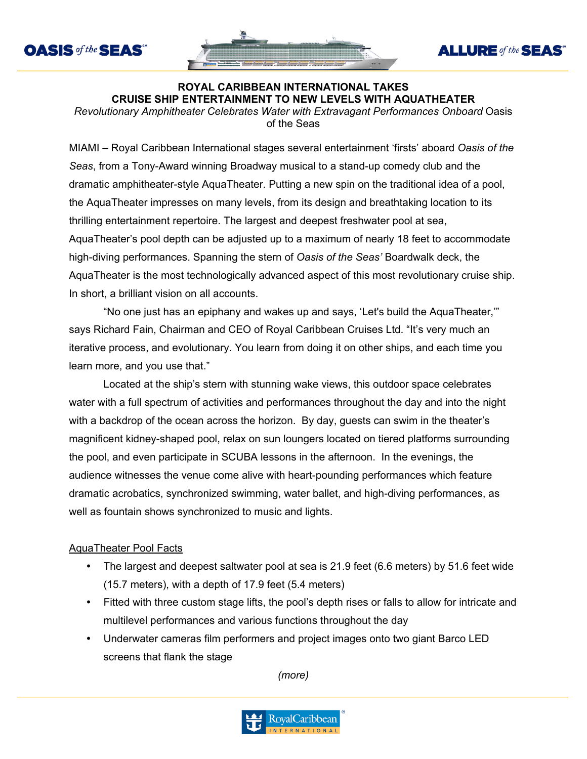



**ALLURE** of the **SEAS** 

## **ROYAL CARIBBEAN INTERNATIONAL TAKES CRUISE SHIP ENTERTAINMENT TO NEW LEVELS WITH AQUATHEATER**

*Revolutionary Amphitheater Celebrates Water with Extravagant Performances Onboard* Oasis of the Seas

MIAMI – Royal Caribbean International stages several entertainment 'firsts' aboard *Oasis of the Seas*, from a Tony-Award winning Broadway musical to a stand-up comedy club and the dramatic amphitheater-style AquaTheater. Putting a new spin on the traditional idea of a pool, the AquaTheater impresses on many levels, from its design and breathtaking location to its thrilling entertainment repertoire. The largest and deepest freshwater pool at sea, AquaTheater's pool depth can be adjusted up to a maximum of nearly 18 feet to accommodate high-diving performances. Spanning the stern of *Oasis of the Seas'* Boardwalk deck, the AquaTheater is the most technologically advanced aspect of this most revolutionary cruise ship. In short, a brilliant vision on all accounts.

"No one just has an epiphany and wakes up and says, 'Let's build the AquaTheater,'" says Richard Fain, Chairman and CEO of Royal Caribbean Cruises Ltd. "It's very much an iterative process, and evolutionary. You learn from doing it on other ships, and each time you learn more, and you use that."

Located at the ship's stern with stunning wake views, this outdoor space celebrates water with a full spectrum of activities and performances throughout the day and into the night with a backdrop of the ocean across the horizon. By day, guests can swim in the theater's magnificent kidney-shaped pool, relax on sun loungers located on tiered platforms surrounding the pool, and even participate in SCUBA lessons in the afternoon. In the evenings, the audience witnesses the venue come alive with heart-pounding performances which feature dramatic acrobatics, synchronized swimming, water ballet, and high-diving performances, as well as fountain shows synchronized to music and lights.

## **AquaTheater Pool Facts**

- The largest and deepest saltwater pool at sea is 21.9 feet (6.6 meters) by 51.6 feet wide (15.7 meters), with a depth of 17.9 feet (5.4 meters)
- Fitted with three custom stage lifts, the pool's depth rises or falls to allow for intricate and multilevel performances and various functions throughout the day
- Underwater cameras film performers and project images onto two giant Barco LED screens that flank the stage

*(more)*